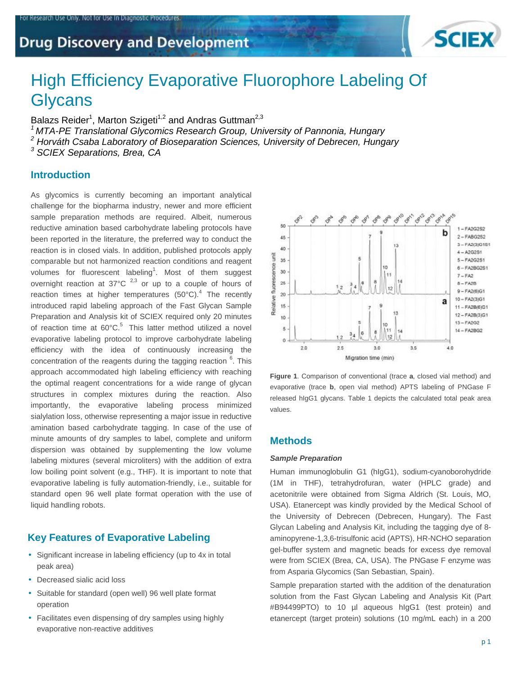Research Use Only. Not for Use In Diagnostic Procedures



# High Efficiency Evaporative Fluorophore Labeling Of **Glycans**

Balazs Reider<sup>1</sup>, Marton Szigeti<sup>1,2</sup> and Andras Guttman<sup>2,3</sup>

*<sup>1</sup>MTA-PE Translational Glycomics Research Group, University of Pannonia, Hungary* 

*<sup>2</sup> Horváth Csaba Laboratory of Bioseparation Sciences, University of Debrecen, Hungary* 

*<sup>3</sup> SCIEX Separations, Brea, CA* 

## **Introduction**

As glycomics is currently becoming an important analytical challenge for the biopharma industry, newer and more efficient sample preparation methods are required. Albeit, numerous reductive amination based carbohydrate labeling protocols have been reported in the literature, the preferred way to conduct the reaction is in closed vials. In addition, published protocols apply comparable but not harmonized reaction conditions and reagent volumes for fluorescent labeling<sup>1</sup>. Most of them suggest overnight reaction at  $37^{\circ}$ C  $^{2,3}$  or up to a couple of hours of reaction times at higher temperatures  $(50^{\circ}C)^{4}$  The recently introduced rapid labeling approach of the Fast Glycan Sample Preparation and Analysis kit of SCIEX required only 20 minutes of reaction time at  $60^{\circ}$ C.<sup>5</sup> This latter method utilized a novel evaporative labeling protocol to improve carbohydrate labeling efficiency with the idea of continuously increasing the concentration of the reagents during the tagging reaction <sup>6</sup>. This approach accommodated high labeling efficiency with reaching the optimal reagent concentrations for a wide range of glycan structures in complex mixtures during the reaction. Also importantly, the evaporative labeling process minimized sialylation loss, otherwise representing a major issue in reductive amination based carbohydrate tagging. In case of the use of minute amounts of dry samples to label, complete and uniform dispersion was obtained by supplementing the low volume labeling mixtures (several microliters) with the addition of extra low boiling point solvent (e.g., THF). It is important to note that evaporative labeling is fully automation-friendly, i.e., suitable for standard open 96 well plate format operation with the use of liquid handling robots.

# **Key Features of Evaporative Labeling**

- Significant increase in labeling efficiency (up to 4x in total peak area)
- Decreased sialic acid loss
- Suitable for standard (open well) 96 well plate format operation
- Facilitates even dispensing of dry samples using highly evaporative non-reactive additives



**Figure 1**. Comparison of conventional (trace **a**, closed vial method) and evaporative (trace **b**, open vial method) APTS labeling of PNGase F released hIgG1 glycans. Table 1 depicts the calculated total peak area values.

# **Methods**

#### *Sample Preparation*

Human immunoglobulin G1 (hIgG1), sodium-cyanoborohydride (1M in THF), tetrahydrofuran, water (HPLC grade) and acetonitrile were obtained from Sigma Aldrich (St. Louis, MO, USA). Etanercept was kindly provided by the Medical School of the University of Debrecen (Debrecen, Hungary). The Fast Glycan Labeling and Analysis Kit, including the tagging dye of 8 aminopyrene-1,3,6-trisulfonic acid (APTS), HR-NCHO separation gel-buffer system and magnetic beads for excess dye removal were from SCIEX (Brea, CA, USA). The PNGase F enzyme was from Asparia Glycomics (San Sebastian, Spain).

Sample preparation started with the addition of the denaturation solution from the Fast Glycan Labeling and Analysis Kit (Part #B94499PTO) to 10 µl aqueous hIgG1 (test protein) and etanercept (target protein) solutions (10 mg/mL each) in a 200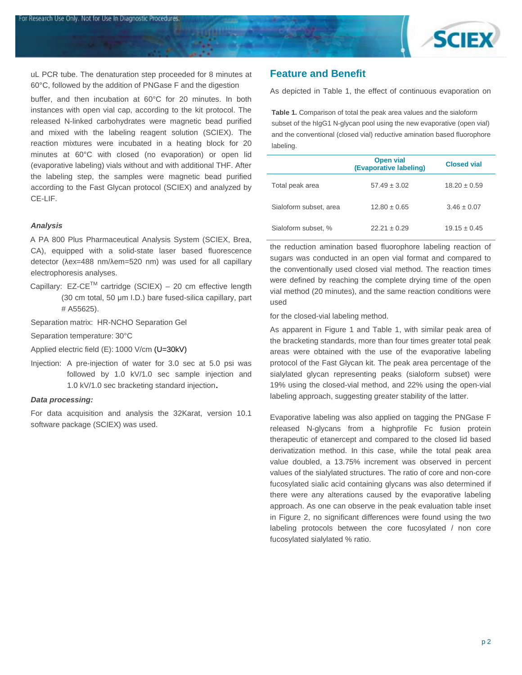

uL PCR tube. The denaturation step proceeded for 8 minutes at 60°C, followed by the addition of PNGase F and the digestion

or Research Use Only. Not for Use In Diagnostic Procedures.

buffer, and then incubation at 60°C for 20 minutes. In both instances with open vial cap, according to the kit protocol. The released N-linked carbohydrates were magnetic bead purified and mixed with the labeling reagent solution (SCIEX). The reaction mixtures were incubated in a heating block for 20 minutes at 60°C with closed (no evaporation) or open lid (evaporative labeling) vials without and with additional THF. After the labeling step, the samples were magnetic bead purified according to the Fast Glycan protocol (SCIEX) and analyzed by CE-LIF.

#### *Analysis*

A PA 800 Plus Pharmaceutical Analysis System (SCIEX, Brea, CA), equipped with a solid-state laser based fluorescence detector (λex=488 nm/λem=520 nm) was used for all capillary electrophoresis analyses.

Capillary:  $EZ-CE^{TM}$  cartridge (SCIEX) – 20 cm effective length (30 cm total, 50 μm I.D.) bare fused-silica capillary, part # A55625).

Separation matrix: HR-NCHO Separation Gel

Separation temperature: 30°C

Applied electric field (E): 1000 V/cm (U=30kV)

Injection: A pre-injection of water for 3.0 sec at 5.0 psi was followed by 1.0 kV/1.0 sec sample injection and 1.0 kV/1.0 sec bracketing standard injection.

#### *Data processing:*

For data acquisition and analysis the 32Karat, version 10.1 software package (SCIEX) was used.

## **Feature and Benefit**

As depicted in Table 1, the effect of continuous evaporation on

**Table 1.** Comparison of total the peak area values and the sialoform subset of the hIgG1 N-glycan pool using the new evaporative (open vial) and the conventional (closed vial) reductive amination based fluorophore labeling.

|                        | <b>Open vial</b><br>(Evaporative labeling) | <b>Closed vial</b> |
|------------------------|--------------------------------------------|--------------------|
| Total peak area        | $57.49 \pm 3.02$                           | $18.20 \pm 0.59$   |
| Sialoform subset, area | $12.80 \pm 0.65$                           | $3.46 \pm 0.07$    |
| Sialoform subset, %    | $22.21 \pm 0.29$                           | $19.15 \pm 0.45$   |

the reduction amination based fluorophore labeling reaction of sugars was conducted in an open vial format and compared to the conventionally used closed vial method. The reaction times were defined by reaching the complete drying time of the open vial method (20 minutes), and the same reaction conditions were used

for the closed-vial labeling method.

As apparent in Figure 1 and Table 1, with similar peak area of the bracketing standards, more than four times greater total peak areas were obtained with the use of the evaporative labeling protocol of the Fast Glycan kit. The peak area percentage of the sialylated glycan representing peaks (sialoform subset) were 19% using the closed-vial method, and 22% using the open-vial labeling approach, suggesting greater stability of the latter.

Evaporative labeling was also applied on tagging the PNGase F released N-glycans from a highprofile Fc fusion protein therapeutic of etanercept and compared to the closed lid based derivatization method. In this case, while the total peak area value doubled, a 13.75% increment was observed in percent values of the sialylated structures. The ratio of core and non-core fucosylated sialic acid containing glycans was also determined if there were any alterations caused by the evaporative labeling approach. As one can observe in the peak evaluation table inset in Figure 2, no significant differences were found using the two labeling protocols between the core fucosylated / non core fucosylated sialylated % ratio.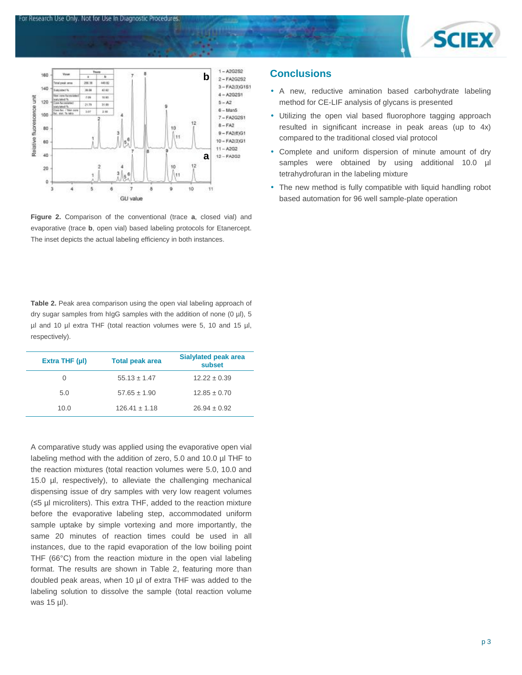



For Research Use Only. Not for Use In Diagnostic Procedures

**Figure 2.** Comparison of the conventional (trace **a**, closed vial) and evaporative (trace **b**, open vial) based labeling protocols for Etanercept. The inset depicts the actual labeling efficiency in both instances.

**Table 2.** Peak area comparison using the open vial labeling approach of dry sugar samples from hIgG samples with the addition of none (0 µl), 5 µl and 10 µl extra THF (total reaction volumes were 5, 10 and 15 µl, respectively).

| Extra THF $(\mu I)$ | <b>Total peak area</b> | Sialylated peak area<br>subset |
|---------------------|------------------------|--------------------------------|
| 0                   | $55.13 \pm 1.47$       | $12.22 \pm 0.39$               |
| 5.0                 | $57.65 \pm 1.90$       | $12.85 \pm 0.70$               |
| 10.0                | $126.41 \pm 1.18$      | $26.94 \pm 0.92$               |

A comparative study was applied using the evaporative open vial labeling method with the addition of zero, 5.0 and 10.0 µl THF to the reaction mixtures (total reaction volumes were 5.0, 10.0 and 15.0 µl, respectively), to alleviate the challenging mechanical dispensing issue of dry samples with very low reagent volumes (≤5 µl microliters). This extra THF, added to the reaction mixture before the evaporative labeling step, accommodated uniform sample uptake by simple vortexing and more importantly, the same 20 minutes of reaction times could be used in all instances, due to the rapid evaporation of the low boiling point THF (66°C) from the reaction mixture in the open vial labeling format. The results are shown in Table 2, featuring more than doubled peak areas, when 10 µl of extra THF was added to the labeling solution to dissolve the sample (total reaction volume was 15 µl).

# **Conclusions**

- A new, reductive amination based carbohydrate labeling method for CE-LIF analysis of glycans is presented
- Utilizing the open vial based fluorophore tagging approach resulted in significant increase in peak areas (up to 4x) compared to the traditional closed vial protocol
- Complete and uniform dispersion of minute amount of dry samples were obtained by using additional 10.0 µl tetrahydrofuran in the labeling mixture
- The new method is fully compatible with liquid handling robot based automation for 96 well sample-plate operation